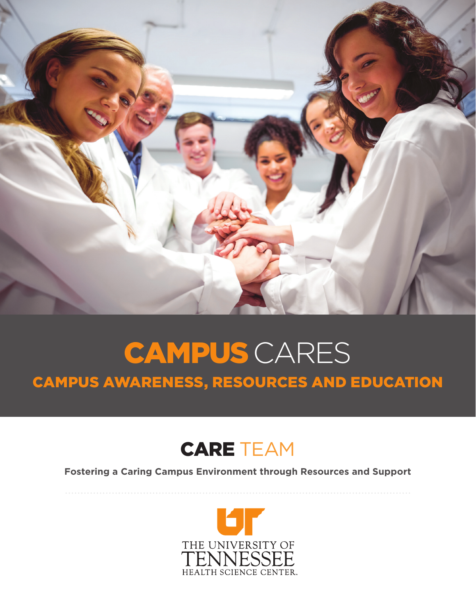

## CAMPUS AWARENESS, RESOURCES AND EDUCATION CAMPUS CARES

## CARE TEAM

**Fostering a Caring Campus Environment through Resources and Support**

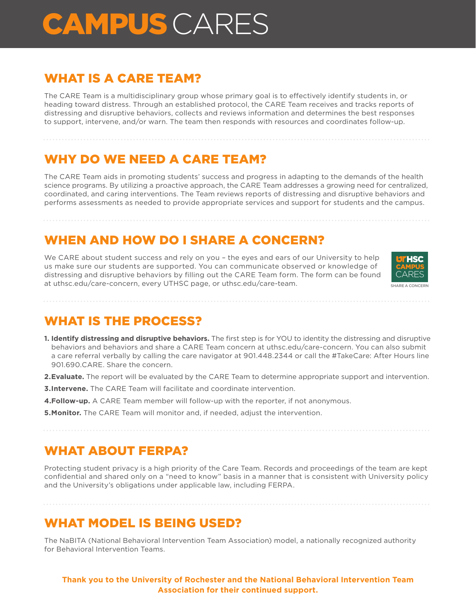# CAMPUS CARES

#### WHAT IS A CARE TEAM?

The CARE Team is a multidisciplinary group whose primary goal is to effectively identify students in, or heading toward distress. Through an established protocol, the CARE Team receives and tracks reports of distressing and disruptive behaviors, collects and reviews information and determines the best responses to support, intervene, and/or warn. The team then responds with resources and coordinates follow-up.

## WHY DO WE NEED A CARE TEAM?

The CARE Team aids in promoting students' success and progress in adapting to the demands of the health science programs. By utilizing a proactive approach, the CARE Team addresses a growing need for centralized, coordinated, and caring interventions. The Team reviews reports of distressing and disruptive behaviors and performs assessments as needed to provide appropriate services and support for students and the campus.

### WHEN AND HOW DO I SHARE A CONCERN?

We CARE about student success and rely on you - the eyes and ears of our University to help us make sure our students are supported. You can communicate observed or knowledge of distressing and disruptive behaviors by filling out the CARE Team form. The form can be found at uthsc.edu/care-concern, every UTHSC page, or uthsc.edu/care-team.



#### WHAT IS THE PROCESS?

- **1. Identify distressing and disruptive behaviors.** The first step is for YOU to identity the distressing and disruptive behaviors and behaviors and share a CARE Team concern at uthsc.edu/care-concern. You can also submit a care referral verbally by calling the care navigator at 901.448.2344 or call the #TakeCare: After Hours line 901.690.CARE. Share the concern.
- **2. Evaluate.** The report will be evaluated by the CARE Team to determine appropriate support and intervention.
- **3. Intervene.** The CARE Team will facilitate and coordinate intervention.
- **4. Follow-up.** A CARE Team member will follow-up with the reporter, if not anonymous.
- **5. Monitor.** The CARE Team will monitor and, if needed, adjust the intervention.

#### WHAT ABOUT FERPA?

Protecting student privacy is a high priority of the Care Team. Records and proceedings of the team are kept confidential and shared only on a "need to know" basis in a manner that is consistent with University policy and the University's obligations under applicable law, including FERPA.

WHAT MODEL IS BEING USED?

The NaBITA (National Behavioral Intervention Team Association) model, a nationally recognized authority for Behavioral Intervention Teams.

**Thank you to the University of Rochester and the National Behavioral Intervention Team Association for their continued support.**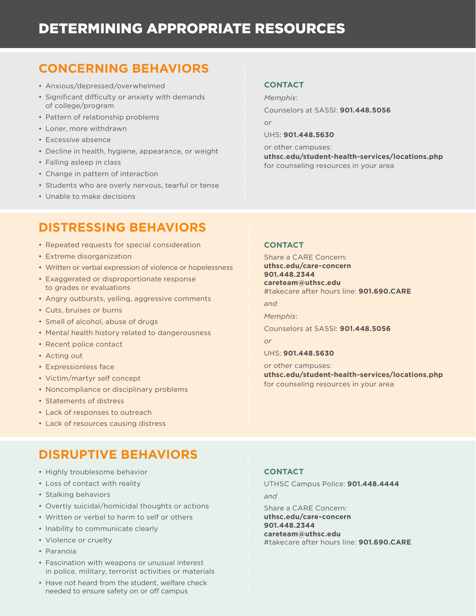### DETERMINING APPROPRIATE RESOURCES

#### **CONCERNING BEHAVIORS**

- Anxious/depressed/overwhelmed
- Significant difficulty or anxiety with demands of college/program
- Pattern of relationship problems
- Loner, more withdrawn
- Excessive absence
- Decline in health, hygiene, appearance, or weight
- Falling asleep in class
- Change in pattern of interaction
- Students who are overly nervous, tearful or tense
- Unable to make decisions

#### **CONTACT**

*Memphis*:

Counselors at SASSI: **901.448.5056**

*or*

UHS: **901.448.5630**

or other campuses: **uthsc.edu/student-health-services/locations.php** for counseling resources in your area

#### **DISTRESSING BEHAVIORS**

- Repeated requests for special consideration
- Extreme disorganization
- Written or verbal expression of violence or hopelessness
- Exaggerated or disproportionate response to grades or evaluations
- Angry outbursts, yelling, aggressive comments
- Cuts, bruises or burns
- Smell of alcohol, abuse of drugs
- Mental health history related to dangerousness
- Recent police contact
- Acting out
- Expressionless face
- Victim/martyr self concept
- Noncompliance or disciplinary problems
- Statements of distress
- Lack of responses to outreach
- Lack of resources causing distress

#### **CONTACT**

Share a CARE Concern: **uthsc.edu/care-concern 901.448.2344 careteam@uthsc.edu** #takecare after hours line: **901.690.CARE**

*and* 

*Memphis*:

Counselors at SASSI: **901.448.5056**

*or*

#### UHS: **901.448.5630**

or other campuses: **uthsc.edu/student-health-services/locations.php** for counseling resources in your area

#### **DISRUPTIVE BEHAVIORS**

- Highly troublesome behavior
- Loss of contact with reality
- Stalking behaviors
- Overtly suicidal/homicidal thoughts or actions
- Written or verbal to harm to self or others
- Inability to communicate clearly
- Violence or cruelty
- Paranoia
- Fascination with weapons or unusual interest in police, military, terrorist activities or materials
- Have not heard from the student, welfare check needed to ensure safety on or off campus

#### **CONTACT**

UTHSC Campus Police: **901.448.4444** *and*  Share a CARE Concern: **uthsc.edu/care-concern 901.448.2344 careteam@uthsc.edu** #takecare after hours line: **901.690.CARE**